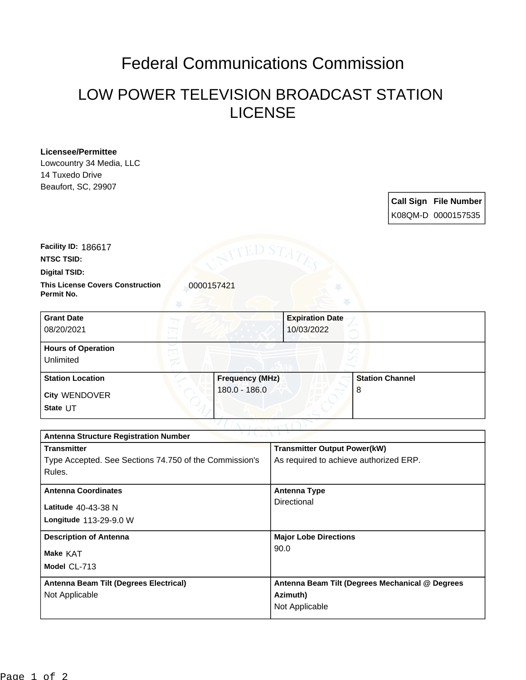## Federal Communications Commission

## LOW POWER TELEVISION BROADCAST STATION LICENSE

## **Licensee/Permittee**

Lowcountry 34 Media, LLC 14 Tuxedo Drive Beaufort, SC, 29907

> **Call Sign File Number** K08QM-D 0000157535

**NTSC TSID: Facility ID:** 186617

**Digital TSID:**

**This License Covers Construction**  0000157421 **Permit No.**

| <b>Grant Date</b><br>08/20/2021        |                        | <b>Expiration Date</b><br>10/03/2022 |
|----------------------------------------|------------------------|--------------------------------------|
| <b>Hours of Operation</b><br>Unlimited |                        |                                      |
| <b>Station Location</b>                | <b>Frequency (MHz)</b> | <b>Station Channel</b>               |
| <b>City WENDOVER</b><br>State UT       | 180.0 - 186.0          | 8                                    |

| <b>Antenna Structure Registration Number</b>           |                                                 |  |  |
|--------------------------------------------------------|-------------------------------------------------|--|--|
| <b>Transmitter</b>                                     | <b>Transmitter Output Power(kW)</b>             |  |  |
| Type Accepted. See Sections 74.750 of the Commission's | As required to achieve authorized ERP.          |  |  |
| Rules.                                                 |                                                 |  |  |
| <b>Antenna Coordinates</b>                             | <b>Antenna Type</b>                             |  |  |
| Latitude 40-43-38 N                                    | Directional                                     |  |  |
| Longitude 113-29-9.0 W                                 |                                                 |  |  |
| <b>Description of Antenna</b>                          | <b>Major Lobe Directions</b>                    |  |  |
| <b>Make KAT</b>                                        | 90.0                                            |  |  |
| Model CL-713                                           |                                                 |  |  |
| Antenna Beam Tilt (Degrees Electrical)                 | Antenna Beam Tilt (Degrees Mechanical @ Degrees |  |  |
| Not Applicable                                         | Azimuth)                                        |  |  |
|                                                        | Not Applicable                                  |  |  |
|                                                        |                                                 |  |  |